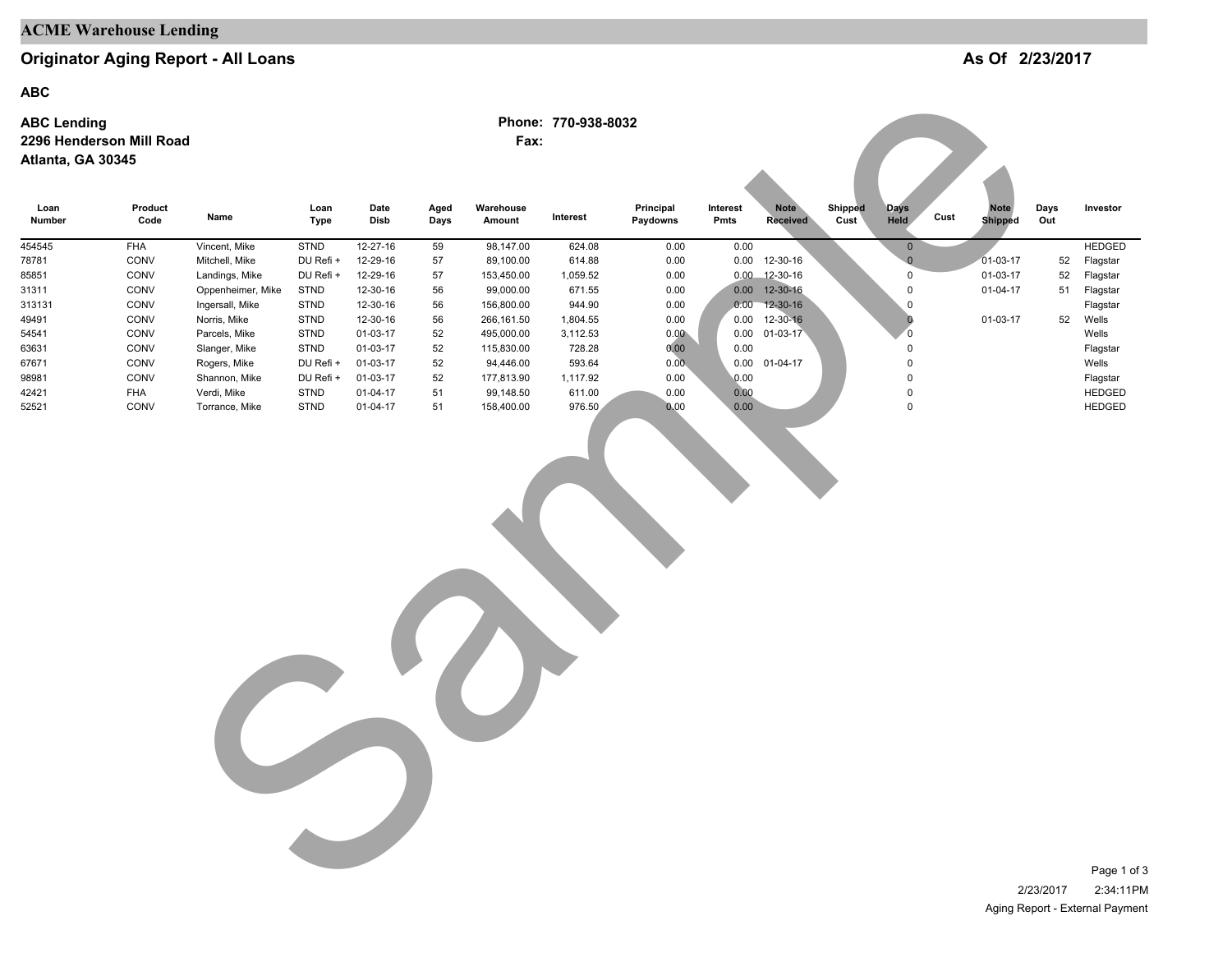## **ACME Warehouse Lending**

## **Originator Aging Report - All Loans**

**ABC**

#### **ABC Lending 2296 Henderson Mill Road Atlanta, GA 30345**

| <b>ABC</b>                              |                          |                               |              |                      |              |                         |                     |                       |                  |                                |                 |                          |                                       |             |                                |
|-----------------------------------------|--------------------------|-------------------------------|--------------|----------------------|--------------|-------------------------|---------------------|-----------------------|------------------|--------------------------------|-----------------|--------------------------|---------------------------------------|-------------|--------------------------------|
| <b>ABC Lending</b><br>Atlanta, GA 30345 | 2296 Henderson Mill Road |                               |              |                      |              | Fax:                    | Phone: 770-938-8032 |                       |                  |                                |                 |                          |                                       |             |                                |
| Loan<br>Number                          | Product<br>Code          | Name                          | Loan<br>Type | Date<br>Disb         | Aged<br>Days | Warehouse<br>Amount     | Interest            | Principal<br>Paydowns | Interest<br>Pmts | <b>Note</b><br><b>Received</b> | Shipped<br>Cust | <b>Days</b><br>Held      | <b>Note</b><br>Cust<br><b>Shipped</b> | Days<br>Out | Investor                       |
| 454545                                  | <b>FHA</b>               | Vincent, Mike                 | <b>STND</b>  | 12-27-16             | 59           | 98,147.00               | 624.08              | 0.00                  | 0.00             |                                |                 | $\mathbf 0$              |                                       |             | <b>HEDGED</b>                  |
| 78781                                   | CONV                     | Mitchell, Mike                | DU Refi +    | 12-29-16             | 57           | 89,100.00               | 614.88              | 0.00                  |                  | 0.00 12-30-16                  |                 | $\mathbf{0}$             | $01-03-17$                            | 52          | Flagstar                       |
| 85851                                   | CONV                     | Landings, Mike                | DU Refi +    | 12-29-16             | 57           | 153,450.00              | 1,059.52            | 0.00                  |                  | $0.00$ 12-30-16                |                 | $\mathbf 0$              | 01-03-17                              | 52          | Flagstar                       |
| 31311                                   | CONV                     | Oppenheimer, Mike             | STND         | 12-30-16             | 56           | 99,000.00               | 671.55              | 0.00                  |                  | 0.00 12-30-16                  |                 | $\pmb{0}$                | $01-04-17$                            | 51          | Flagstar                       |
| 313131                                  | CONV                     | Ingersall, Mike               | <b>STND</b>  | 12-30-16             | 56           | 156,800.00              | 944.90              | 0.00                  | 0.00             | $12 - 30 - 16$                 |                 | $\pmb{0}$                |                                       |             | Flagstar                       |
| 49491                                   | CONV                     | Norris, Mike                  | <b>STND</b>  | 12-30-16             | 56           | 266,161.50              | 1,804.55            | 0.00                  | 0.00             | 12-30-16                       |                 | $\bf{0}$                 | 01-03-17                              | 52          | Wells                          |
| 54541                                   | CONV                     | Parcels, Mike                 | STND         | 01-03-17             | 52           | 495,000.00              | 3,112.53            | $0.00 -$              | 0.00             | $01 - 03 - 17$                 |                 | $\overline{0}$           |                                       |             | Wells                          |
| 63631                                   | CONV                     | Slanger, Mike                 | <b>STND</b>  | 01-03-17             | 52           | 115,830.00              | 728.28              | 0.00                  | 0.00             |                                |                 | $\pmb{0}$                |                                       |             | Flagstar                       |
| 67671                                   | CONV                     | Rogers, Mike                  | DU Refi +    | 01-03-17             | 52           | 94,446.00               | 593.64              | 0.00 <sub>1</sub>     |                  | 0.00 01-04-17                  |                 | $\mathbf 0$              |                                       |             | Wells                          |
| 98981                                   | CONV                     | Shannon, Mike                 | DU Refi +    | 01-03-17             | 52           | 177,813.90              | 1,117.92            | 0.00                  | 0.00             |                                |                 | $\mathsf 0$              |                                       |             | Flagstar                       |
| 42421<br>52521                          | FHA<br>CONV              | Verdi, Mike<br>Torrance, Mike | STND<br>STND | 01-04-17<br>01-04-17 | 51<br>51     | 99,148.50<br>158,400.00 | 611.00<br>976.50    | 0.00<br>0.00          | 0.00<br>0.00     |                                |                 | $\pmb{0}$<br>$\mathsf 0$ |                                       |             | <b>HEDGED</b><br><b>HEDGED</b> |
|                                         |                          |                               |              |                      |              |                         |                     |                       |                  |                                |                 |                          |                                       |             |                                |
|                                         |                          |                               |              |                      |              |                         |                     |                       |                  |                                |                 |                          |                                       | 2/23/2017   | Page 1 of<br>2:34:11P          |

**As Of 2/23/2017**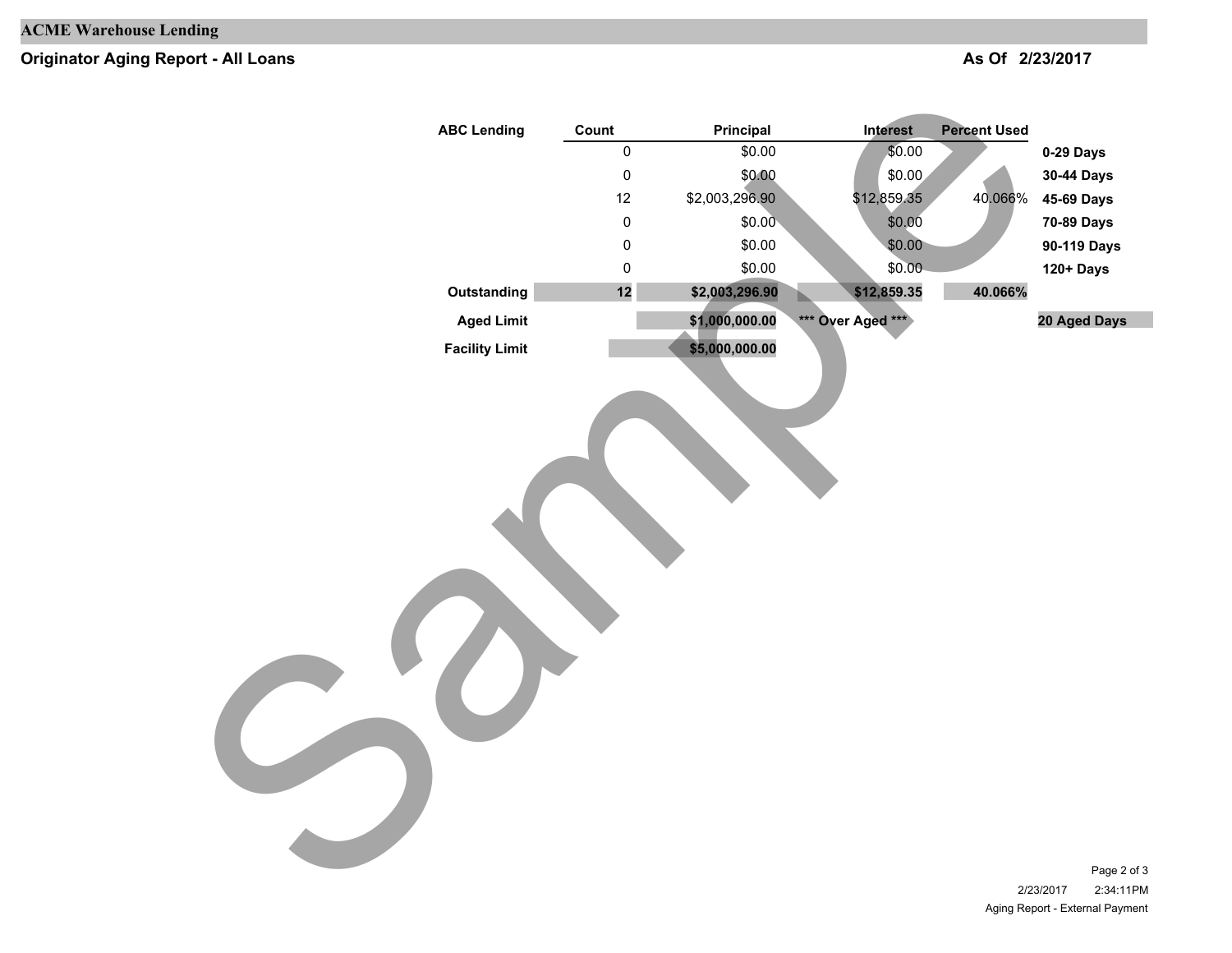# **Originator Aging Report - All Loans**

### **As Of 2/23/2017**

| <b>ABC Lending</b>    | Count               | Principal      | Interest          | <b>Percent Used</b> |                                       |
|-----------------------|---------------------|----------------|-------------------|---------------------|---------------------------------------|
|                       | $\mathsf{O}\xspace$ | \$0.00         | \$0.00            |                     | 0-29 Days                             |
|                       | $\pmb{0}$           | \$0.00         | \$0.00            |                     | 30-44 Days                            |
|                       | 12                  | \$2,003,296.90 | \$12,859.35       | 40.066%             | 45-69 Days                            |
|                       | $\pmb{0}$           | \$0.00         | \$0.00            |                     | 70-89 Days                            |
|                       | $\pmb{0}$           | \$0.00         | \$0.00            |                     | 90-119 Days                           |
|                       | $\pmb{0}$           | \$0.00         | \$0.00            |                     | 120+ Days                             |
| Outstanding           | $12$                | \$2,003,296.90 | \$12,859.35       | 40.066%             |                                       |
| <b>Aged Limit</b>     |                     | \$1,000,000.00 | *** Over Aged *** |                     | 20 Aged Days                          |
| <b>Facility Limit</b> |                     | \$5,000,000.00 |                   |                     |                                       |
|                       |                     |                |                   |                     | Page 2 of 3<br>2/23/2017<br>2:34:11PM |

2/23/2017 2:34:11PM Aging Report - External Payment